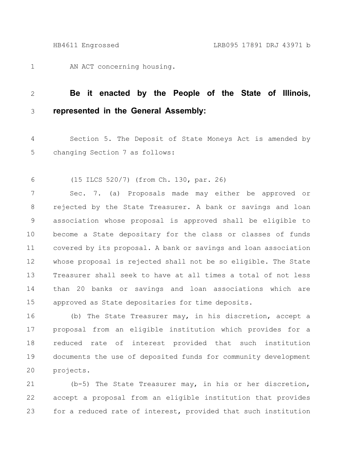AN ACT concerning housing. 1

## **Be it enacted by the People of the State of Illinois, represented in the General Assembly:** 2 3

Section 5. The Deposit of State Moneys Act is amended by changing Section 7 as follows: 4 5

(15 ILCS 520/7) (from Ch. 130, par. 26) 6

Sec. 7. (a) Proposals made may either be approved or rejected by the State Treasurer. A bank or savings and loan association whose proposal is approved shall be eligible to become a State depositary for the class or classes of funds covered by its proposal. A bank or savings and loan association whose proposal is rejected shall not be so eligible. The State Treasurer shall seek to have at all times a total of not less than 20 banks or savings and loan associations which are approved as State depositaries for time deposits. 7 8 9 10 11 12 13 14 15

(b) The State Treasurer may, in his discretion, accept a proposal from an eligible institution which provides for a reduced rate of interest provided that such institution documents the use of deposited funds for community development projects. 16 17 18 19 20

(b-5) The State Treasurer may, in his or her discretion, accept a proposal from an eligible institution that provides for a reduced rate of interest, provided that such institution 21 22 23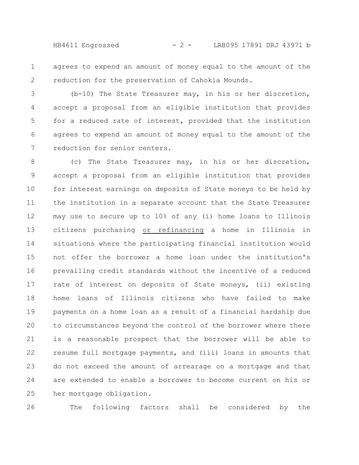HB4611 Engrossed - 2 - LRB095 17891 DRJ 43971 b

agrees to expend an amount of money equal to the amount of the reduction for the preservation of Cahokia Mounds. 1 2

(b-10) The State Treasurer may, in his or her discretion, accept a proposal from an eligible institution that provides for a reduced rate of interest, provided that the institution agrees to expend an amount of money equal to the amount of the reduction for senior centers. 3 4 5 6 7

(c) The State Treasurer may, in his or her discretion, accept a proposal from an eligible institution that provides for interest earnings on deposits of State moneys to be held by the institution in a separate account that the State Treasurer may use to secure up to 10% of any (i) home loans to Illinois citizens purchasing or refinancing a home in Illinois in situations where the participating financial institution would not offer the borrower a home loan under the institution's prevailing credit standards without the incentive of a reduced rate of interest on deposits of State moneys, (ii) existing home loans of Illinois citizens who have failed to make payments on a home loan as a result of a financial hardship due to circumstances beyond the control of the borrower where there is a reasonable prospect that the borrower will be able to resume full mortgage payments, and (iii) loans in amounts that do not exceed the amount of arrearage on a mortgage and that are extended to enable a borrower to become current on his or her mortgage obligation. 8 9 10 11 12 13 14 15 16 17 18 19 20 21 22 23 24 25

26

The following factors shall be considered by the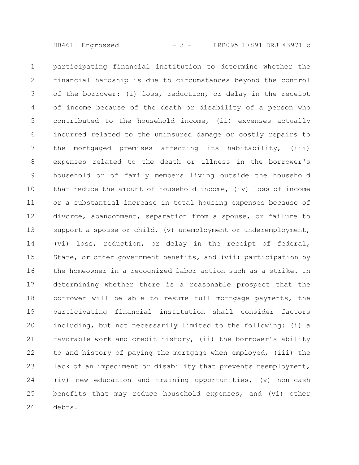HB4611 Engrossed - 3 - LRB095 17891 DRJ 43971 b

participating financial institution to determine whether the financial hardship is due to circumstances beyond the control of the borrower: (i) loss, reduction, or delay in the receipt of income because of the death or disability of a person who contributed to the household income, (ii) expenses actually incurred related to the uninsured damage or costly repairs to the mortgaged premises affecting its habitability, (iii) expenses related to the death or illness in the borrower's household or of family members living outside the household that reduce the amount of household income, (iv) loss of income or a substantial increase in total housing expenses because of divorce, abandonment, separation from a spouse, or failure to support a spouse or child, (v) unemployment or underemployment, (vi) loss, reduction, or delay in the receipt of federal, State, or other government benefits, and (vii) participation by the homeowner in a recognized labor action such as a strike. In determining whether there is a reasonable prospect that the borrower will be able to resume full mortgage payments, the participating financial institution shall consider factors including, but not necessarily limited to the following: (i) a favorable work and credit history, (ii) the borrower's ability to and history of paying the mortgage when employed, (iii) the lack of an impediment or disability that prevents reemployment, (iv) new education and training opportunities, (v) non-cash benefits that may reduce household expenses, and (vi) other debts. 1 2 3 4 5 6 7 8 9 10 11 12 13 14 15 16 17 18 19 20 21 22 23 24 25 26